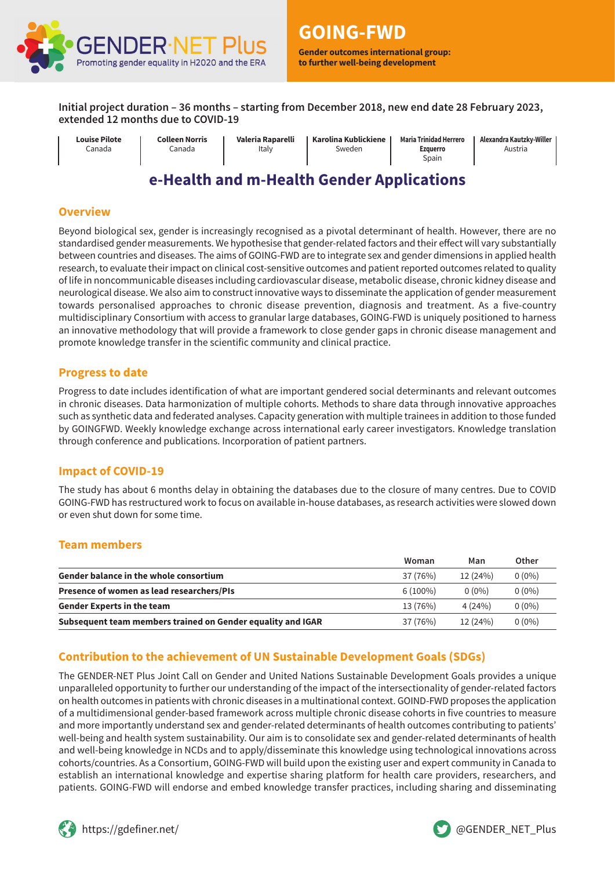

**Gender outcomes international group: to further well-being development**

**Initial project duration – 36 months – starting from December 2018, new end date 28 February 2023, extended 12 months due to COVID-19**

**Louise Pilote** Canada

**Colleen Norris** Canada

**Valeria Raparelli** Italy

**Karolina Kublickiene** Sweden

**Maria Trinidad Herrero Ezquerro** Spain

**Alexandra Kautzky-Willer** Austria

# **e-Health and m-Health Gender Applications**

#### **Overview**

Beyond biological sex, gender is increasingly recognised as a pivotal determinant of health. However, there are no standardised gender measurements. We hypothesise that gender-related factors and their effect will vary substantially between countries and diseases. The aims of GOING-FWD are to integrate sex and gender dimensions in applied health research, to evaluate their impact on clinical cost-sensitive outcomes and patient reported outcomes related to quality of life in noncommunicable diseases including cardiovascular disease, metabolic disease, chronic kidney disease and neurological disease. We also aim to construct innovative ways to disseminate the application of gender measurement towards personalised approaches to chronic disease prevention, diagnosis and treatment. As a five-country multidisciplinary Consortium with access to granular large databases, GOING-FWD is uniquely positioned to harness an innovative methodology that will provide a framework to close gender gaps in chronic disease management and promote knowledge transfer in the scientific community and clinical practice.

#### **Progress to date**

Progress to date includes identification of what are important gendered social determinants and relevant outcomes in chronic diseases. Data harmonization of multiple cohorts. Methods to share data through innovative approaches such as synthetic data and federated analyses. Capacity generation with multiple trainees in addition to those funded by GOINGFWD. Weekly knowledge exchange across international early career investigators. Knowledge translation through conference and publications. Incorporation of patient partners.

### **Impact of COVID-19**

The study has about 6 months delay in obtaining the databases due to the closure of many centres. Due to COVID GOING-FWD has restructured work to focus on available in-house databases, as research activities were slowed down or even shut down for some time.

### **Team members**

|                                                             | Woman      | Man      | Other    |
|-------------------------------------------------------------|------------|----------|----------|
| <b>Gender balance in the whole consortium</b>               | 37 (76%)   | 12 (24%) | $0(0\%)$ |
| Presence of women as lead researchers/PIs                   | $6(100\%)$ | $0(0\%)$ | $0(0\%)$ |
| <b>Gender Experts in the team</b>                           | 13 (76%)   | 4(24%)   | $0(0\%)$ |
| Subsequent team members trained on Gender equality and IGAR | 37 (76%)   | 12 (24%) | $0(0\%)$ |

### **Contribution to the achievement of UN Sustainable Development Goals (SDGs)**

The GENDER-NET Plus Joint Call on Gender and United Nations Sustainable Development Goals provides a unique unparalleled opportunity to further our understanding of the impact of the intersectionality of gender-related factors on health outcomes in patients with chronic diseases in a multinational context. GOIND-FWD proposes the application of a multidimensional gender-based framework across multiple chronic disease cohorts in five countries to measure and more importantly understand sex and gender-related determinants of health outcomes contributing to patients' well-being and health system sustainability. Our aim is to consolidate sex and gender-related determinants of health and well-being knowledge in NCDs and to apply/disseminate this knowledge using technological innovations across cohorts/countries. As a Consortium, GOING-FWD will build upon the existing user and expert community in Canada to establish an international knowledge and expertise sharing platform for health care providers, researchers, and patients. GOING-FWD will endorse and embed knowledge transfer practices, including sharing and disseminating